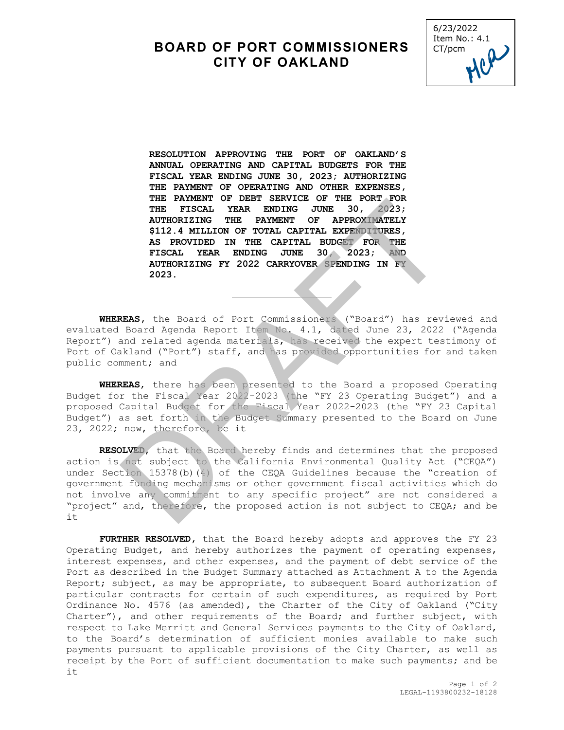## **BOARD OF PORT COMMISSIONERS CITY OF OAKLAND**



**RESOLUTION APPROVING THE PORT OF OAKLAND'S ANNUAL OPERATING AND CAPITAL BUDGETS FOR THE FISCAL YEAR ENDING JUNE 30, 2023; AUTHORIZING THE PAYMENT OF OPERATING AND OTHER EXPENSES, THE PAYMENT OF DEBT SERVICE OF THE PORT FOR THE FISCAL YEAR ENDING JUNE 30, 2023; AUTHORIZING THE PAYMENT OF APPROXIMATELY \$112.4 MILLION OF TOTAL CAPITAL EXPENDITURES, AS PROVIDED IN THE CAPITAL BUDGET FOR THE** FISCAL YEAR ENDING JUNE 30, 2023; **AUTHORIZING FY 2022 CARRYOVER SPENDING IN FY 2023.**

**WHEREAS,** the Board of Port Commissioners ("Board") has reviewed and evaluated Board Agenda Report Item No. 4.1, dated June 23, 2022 ("Agenda Report") and related agenda materials, has received the expert testimony of Port of Oakland ("Port") staff, and has provided opportunities for and taken public comment; and

ı

**WHEREAS**, there has been presented to the Board a proposed Operating Budget for the Fiscal Year 2022-2023 (the "FY 23 Operating Budget") and a proposed Capital Budget for the Fiscal Year 2022-2023 (the "FY 23 Capital Budget") as set forth in the Budget Summary presented to the Board on June 23, 2022; now, therefore, be it

**RESOLVED**, that the Board hereby finds and determines that the proposed action is not subject to the California Environmental Quality Act ("CEQA") under Section 15378(b)(4) of the CEQA Guidelines because the "creation of government funding mechanisms or other government fiscal activities which do not involve any commitment to any specific project" are not considered a "project" and, therefore, the proposed action is not subject to CEQA; and be it THE FISCAL YEAR ENDING JUNE 30, 2023;<br>THE FISCAL YEAR ENDING JUNE 30, 2023;<br>AUTHORIZING THE PAYMENT OF APPROXIMATELY<br>\$112.4 MILLION OF TOTAL CAPITAL EXPEDIPITURES,<br>RS PROVIDED IN THE CAPITAL BUDGEY FOR THE<br>FISCAL YEAR ENDI

**FURTHER RESOLVED,** that the Board hereby adopts and approves the FY 23 Operating Budget, and hereby authorizes the payment of operating expenses, interest expenses, and other expenses, and the payment of debt service of the Port as described in the Budget Summary attached as Attachment A to the Agenda Report; subject, as may be appropriate, to subsequent Board authorization of particular contracts for certain of such expenditures, as required by Port Ordinance No. 4576 (as amended), the Charter of the City of Oakland ("City Charter"), and other requirements of the Board; and further subject, with respect to Lake Merritt and General Services payments to the City of Oakland, to the Board's determination of sufficient monies available to make such payments pursuant to applicable provisions of the City Charter, as well as receipt by the Port of sufficient documentation to make such payments; and be it